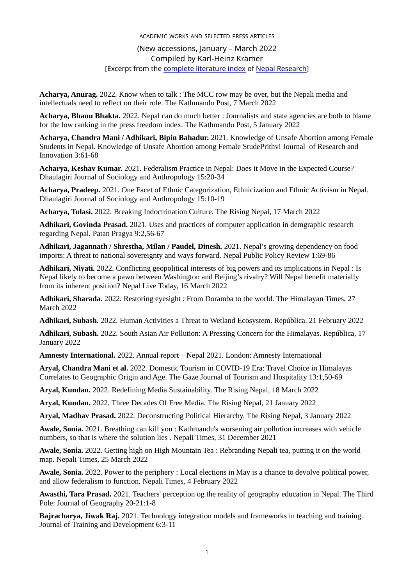## ACADEMIC WORKS AND SELECTED PRESS ARTICLES (New accessions, January – March 2022 Compiled by Karl-Heinz Krämer [Excerpt from the [complete literature index](http://nepalresearch.org/bibliography.html) of [Nepal Research](http://nepalresearch.org/index.html)]

**Acharya, Anurag.** 2022. Know when to talk : The MCC row may be over, but the Nepali media and intellectuals need to reflect on their role. The Kathmandu Post, 7 March 2022

**Acharya, Bhanu Bhakta.** 2022. Nepal can do much better : Journalists and state agencies are both to blame for the low ranking in the press freedom index. The Kathmandu Post, 5 January 2022

**Acharya, Chandra Mani / Adhikari, Bipin Bahadur.** 2021. Knowledge of Unsafe Abortion among Female Students in Nepal. Knowledge of Unsafe Abortion among Female StudePrithvi Journal of Research and Innovation 3:61-68

**Acharya, Keshav Kumar.** 2021. Federalism Practice in Nepal: Does it Move in the Expected Course? Dhaulagiri Journal of Sociology and Anthropology 15:20-34

**Acharya, Pradeep.** 2021. One Facet of Ethnic Categorization, Ethnicization and Ethnic Activism in Nepal. Dhaulagiri Journal of Sociology and Anthropology 15:10-19

**Acharya, Tulasi.** 2022. Breaking Indoctrination Culture. The Rising Nepal, 17 March 2022

**Adhikari, Govinda Prasad.** 2021. Uses and practices of computer application in demgraphic research regarding Nepal. Patan Pragya 9:2,56-67

**Adhikari, Jagannath / Shrestha, Milan / Paudel, Dinesh.** 2021. Nepal's growing dependency on food imports: A threat to national sovereignty and ways forward. Nepal Public Policy Review 1:69-86

**Adhikari, Niyati.** 2022. Conflicting geopolitical interests of big powers and its implications in Nepal : Is Nepal likely to become a pawn between Washington and Beijing's rivalry? Will Nepal benefit materially from its inherent position? Nepal Live Today, 16 March 2022

**Adhikari, Sharada.** 2022. Restoring eyesight : From Doramba to the world. The Himalayan Times, 27 March 2022

**Adhikari, Subash.** 2022. Human Activities a Threat to Wetland Ecosystem. República, 21 February 2022

**Adhikari, Subash.** 2022. South Asian Air Pollution: A Pressing Concern for the Himalayas. República, 17 January 2022

**Amnesty International.** 2022. Annual report – Nepal 2021. London: Amnesty International

**Aryal, Chandra Mani et al.** 2022. Domestic Tourism in COVID-19 Era: Travel Choice in Himalayas Correlates to Geographic Origin and Age. The Gaze Journal of Tourism and Hospitality 13:1,50-69

**Aryal, Kundan.** 2022. Redefining Media Sustainability. The Rising Nepal, 18 March 2022

**Aryal, Kundan.** 2022. Three Decades Of Free Media. The Rising Nepal, 21 January 2022

**Aryal, Madhav Prasad.** 2022. Deconstructing Political Hierarchy. The Rising Nepal, 3 January 2022

**Awale, Sonia.** 2021. Breathing can kill you : Kathmandu's worsening air pollution increases with vehicle numbers, so that is where the solution lies . Nepali Times, 31 December 2021

**Awale, Sonia.** 2022. Getting high on High Mountain Tea : Rebranding Nepali tea, putting it on the world map. Nepali Times, 25 March 2022

**Awale, Sonia.** 2022. Power to the periphery : Local elections in May is a chance to devolve political power, and allow federalism to function. Nepali Times, 4 February 2022

**Awasthi, Tara Prasad.** 2021. Teachers' perception og the reality of geography education in Nepal. The Third Pole: Journal of Geography 20-21:1-8

**Bajracharya, Jiwak Raj.** 2021. Technology integration models and frameworks in teaching and training. Journal of Training and Development 6:3-11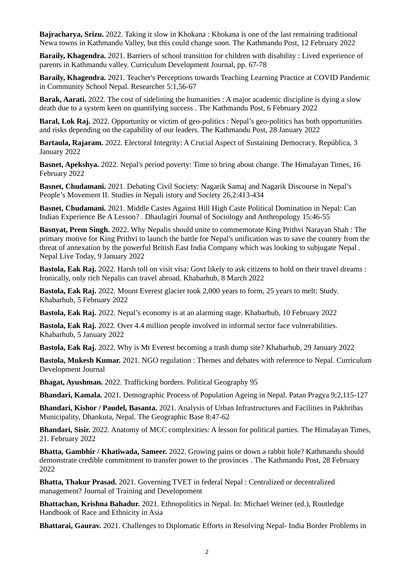**Bajracharya, Srizu.** 2022. Taking it slow in Khokana : Khokana is one of the last remaining traditional Newa towns in Kathmandu Valley, but this could change soon. The Kathmandu Post, 12 February 2022

**Baraily, Khagendra.** 2021. Barriers of school transition for children with disability : Lived experience of parents in Kathmandu valley. Curriculum Development Journal, pp. 67-78

**Baraily, Khagendra.** 2021. Teacher's Perceptions towards Teaching Learning Practice at COVID Pandemic in Community School Nepal. Researcher 5:1,56-67

**Barak, Aarati.** 2022. The cost of sidelining the humanities : A major academic discipline is dying a slow death due to a system keen on quantifying success . The Kathmandu Post, 6 February 2022

**Baral, Lok Raj.** 2022. Opportunity or victim of geo-politics : Nepal's geo-politics has both opportunities and risks depending on the capability of our leaders. The Kathmandu Post, 28 January 2022

**Bartaula, Rajaram.** 2022. Electoral Integrity: A Crucial Aspect of Sustaining Democracy. República, 3 January 2022

**Basnet, Apekshya.** 2022. Nepal's period poverty: Time to bring about change. The Himalayan Times, 16 February 2022

**Basnet, Chudamani.** 2021. Debating Civil Society: Nagarik Samaj and Nagarik Discourse in Nepal's People's Movement II. Studies in Nepali istory and Society 26,2:413-434

**Basnet, Chudamani.** 2021. Middle Castes Against Hill High Caste Political Domination in Nepal: Can Indian Experience Be A Lesson? . Dhaulagiri Journal of Sociology and Anthropology 15:46-55

**Basnyat, Prem Singh.** 2022. Why Nepalis should unite to commemorate King Prithvi Narayan Shah : The primary motive for King Prithvi to launch the battle for Nepal's unification was to save the country from the threat of annexation by the powerful British East India Company which was looking to subjugate Nepal . Nepal Live Today, 9 January 2022

**Bastola, Eak Raj.** 2022. Harsh toll on visit visa: Govt likely to ask citizens to hold on their travel dreams : Ironically, only rich Nepalis can travel abroad. Khabarhub, 8 March 2022

**Bastola, Eak Raj.** 2022. Mount Everest glacier took 2,000 years to form, 25 years to melt: Study. Khabarhub, 5 February 2022

**Bastola, Eak Raj.** 2022. Nepal's economy is at an alarming stage. Khabarhub, 10 February 2022

**Bastola, Eak Raj.** 2022. Over 4.4 million people involved in informal sector face vulnerabilities. Khabarhub, 5 January 2022

**Bastola, Eak Raj.** 2022. Why is Mt Everest becoming a trash dump site? Khabarhub, 29 January 2022

**Bastola, Mukesh Kumar.** 2021. NGO regulation : Themes and debates with reference to Nepal. Curriculum Development Journal

**Bhagat, Ayushman.** 2022. Trafficking borders. Political Geography 95

**Bhandari, Kamala.** 2021. Demographic Process of Population Ageing in Nepal. Patan Pragya 9;2,115-127

**Bhandari, Kishor / Paudel, Basanta.** 2021. Analysis of Urban Infrastructures and Facilities in Pakhribas Municipality, Dhankuta, Nepal. The Geographic Base 8:47-62

**Bhandari, Sisir.** 2022. Anatomy of MCC complexities: A lesson for political parties. The Himalayan Times, 21. February 2022

**Bhatta, Gambhir / Khatiwada, Sameer.** 2022. Growing pains or down a rabbit hole? Kathmandu should demonstrate credible commitment to transfer power to the provinces . The Kathmandu Post, 28 February 2022

**Bhatta, Thakur Prasad.** 2021. Governing TVET in federal Nepal : Centralized or decentralized management? Journal of Training and Developoment

**Bhattachan, Krishna Bahadur.** 2021. Ethnopolitics in Nepal. In: Michael Weiner (ed.), Routledge Handbook of Race and Ethnicity in Asia

**Bhattarai, Gaurav.** 2021. Challenges to Diplomatic Efforts in Resolving Nepal- India Border Problems in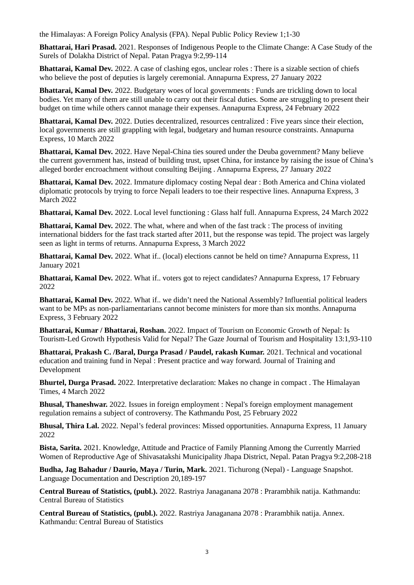the Himalayas: A Foreign Policy Analysis (FPA). Nepal Public Policy Review 1;1-30

**Bhattarai, Hari Prasad.** 2021. Responses of Indigenous People to the Climate Change: A Case Study of the Surels of Dolakha District of Nepal. Patan Pragya 9:2,99-114

**Bhattarai, Kamal Dev.** 2022. A case of clashing egos, unclear roles : There is a sizable section of chiefs who believe the post of deputies is largely ceremonial. Annapurna Express, 27 January 2022

**Bhattarai, Kamal Dev.** 2022. Budgetary woes of local governments : Funds are trickling down to local bodies. Yet many of them are still unable to carry out their fiscal duties. Some are struggling to present their budget on time while others cannot manage their expenses. Annapurna Express, 24 February 2022

**Bhattarai, Kamal Dev.** 2022. Duties decentralized, resources centralized : Five years since their election, local governments are still grappling with legal, budgetary and human resource constraints. Annapurna Express, 10 March 2022

**Bhattarai, Kamal Dev.** 2022. Have Nepal-China ties soured under the Deuba government? Many believe the current government has, instead of building trust, upset China, for instance by raising the issue of China's alleged border encroachment without consulting Beijing . Annapurna Express, 27 January 2022

**Bhattarai, Kamal Dev.** 2022. Immature diplomacy costing Nepal dear : Both America and China violated diplomatic protocols by trying to force Nepali leaders to toe their respective lines. Annapurna Express, 3 March 2022

**Bhattarai, Kamal Dev.** 2022. Local level functioning : Glass half full. Annapurna Express, 24 March 2022

**Bhattarai, Kamal Dev.** 2022. The what, where and when of the fast track : The process of inviting international bidders for the fast track started after 2011, but the response was tepid. The project was largely seen as light in terms of returns. Annapurna Express, 3 March 2022

**Bhattarai, Kamal Dev.** 2022. What if.. (local) elections cannot be held on time? Annapurna Express, 11 January 2021

**Bhattarai, Kamal Dev.** 2022. What if.. voters got to reject candidates? Annapurna Express, 17 February 2022

**Bhattarai, Kamal Dev.** 2022. What if.. we didn't need the National Assembly? Influential political leaders want to be MPs as non-parliamentarians cannot become ministers for more than six months. Annapurna Express, 3 February 2022

**Bhattarai, Kumar / Bhattarai, Roshan.** 2022. Impact of Tourism on Economic Growth of Nepal: Is Tourism-Led Growth Hypothesis Valid for Nepal? The Gaze Journal of Tourism and Hospitality 13:1,93-110

**Bhattarai, Prakash C. /Baral, Durga Prasad / Paudel, rakash Kumar.** 2021. Technical and vocational education and training fund in Nepal : Present practice and way forward. Journal of Training and Development

**Bhurtel, Durga Prasad.** 2022. Interpretative declaration: Makes no change in compact . The Himalayan Times, 4 March 2022

**Bhusal, Thaneshwar.** 2022. Issues in foreign employment : Nepal's foreign employment management regulation remains a subject of controversy. The Kathmandu Post, 25 February 2022

**Bhusal, Thira Lal.** 2022. Nepal's federal provinces: Missed opportunities. Annapurna Express, 11 January 2022

**Bista, Sarita.** 2021. Knowledge, Attitude and Practice of Family Planning Among the Currently Married Women of Reproductive Age of Shivasatakshi Municipality Jhapa District, Nepal. Patan Pragya 9:2,208-218

**Budha, Jag Bahadur / Daurio, Maya / Turin, Mark.** 2021. Tichurong (Nepal) - Language Snapshot. Language Documentation and Description 20,189-197

**Central Bureau of Statistics, (publ.).** 2022. Rastriya Janaganana 2078 : Prarambhik natija. Kathmandu: Central Bureau of Statistics

**Central Bureau of Statistics, (publ.).** 2022. Rastriya Janaganana 2078 : Prarambhik natija. Annex. Kathmandu: Central Bureau of Statistics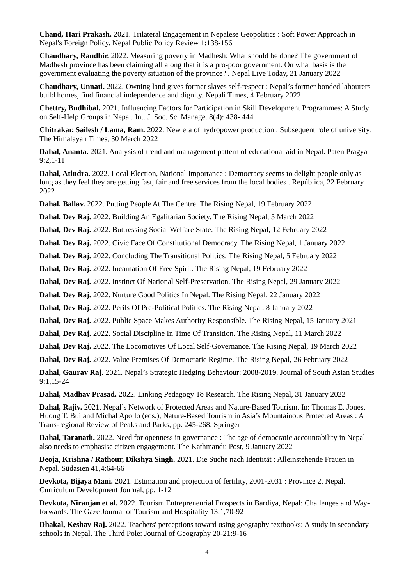**Chand, Hari Prakash.** 2021. Trilateral Engagement in Nepalese Geopolitics : Soft Power Approach in Nepal's Foreign Policy. Nepal Public Policy Review 1:138-156

**Chaudhary, Randhir.** 2022. Measuring poverty in Madhesh: What should be done? The government of Madhesh province has been claiming all along that it is a pro-poor government. On what basis is the government evaluating the poverty situation of the province? . Nepal Live Today, 21 January 2022

**Chaudhary, Unnati.** 2022. Owning land gives former slaves self-respect : Nepal's former bonded labourers build homes, find financial independence and dignity. Nepali Times, 4 February 2022

**Chettry, Budhibal.** 2021. Influencing Factors for Participation in Skill Development Programmes: A Study on Self-Help Groups in Nepal. Int. J. Soc. Sc. Manage. 8(4): 438- 444

**Chitrakar, Sailesh / Lama, Ram.** 2022. New era of hydropower production : Subsequent role of university. The Himalayan Times, 30 March 2022

**Dahal, Ananta.** 2021. Analysis of trend and management pattern of educational aid in Nepal. Paten Pragya 9:2,1-11

**Dahal, Atindra.** 2022. Local Election, National Importance : Democracy seems to delight people only as long as they feel they are getting fast, fair and free services from the local bodies . República, 22 February 2022

**Dahal, Ballav.** 2022. Putting People At The Centre. The Rising Nepal, 19 February 2022

**Dahal, Dev Raj.** 2022. Building An Egalitarian Society. The Rising Nepal, 5 March 2022

**Dahal, Dev Raj.** 2022. Buttressing Social Welfare State. The Rising Nepal, 12 February 2022

**Dahal, Dev Raj.** 2022. Civic Face Of Constitutional Democracy. The Rising Nepal, 1 January 2022

**Dahal, Dev Raj.** 2022. Concluding The Transitional Politics. The Rising Nepal, 5 February 2022

**Dahal, Dev Raj.** 2022. Incarnation Of Free Spirit. The Rising Nepal, 19 February 2022

**Dahal, Dev Raj.** 2022. Instinct Of National Self-Preservation. The Rising Nepal, 29 January 2022

**Dahal, Dev Raj.** 2022. Nurture Good Politics In Nepal. The Rising Nepal, 22 January 2022

**Dahal, Dev Raj.** 2022. Perils Of Pre-Political Politics. The Rising Nepal, 8 January 2022

**Dahal, Dev Raj.** 2022. Public Space Makes Authority Responsible. The Rising Nepal, 15 January 2021

**Dahal, Dev Raj.** 2022. Social Discipline In Time Of Transition. The Rising Nepal, 11 March 2022

**Dahal, Dev Raj.** 2022. The Locomotives Of Local Self-Governance. The Rising Nepal, 19 March 2022

**Dahal, Dev Raj.** 2022. Value Premises Of Democratic Regime. The Rising Nepal, 26 February 2022

**Dahal, Gaurav Raj.** 2021. Nepal's Strategic Hedging Behaviour: 2008-2019. Journal of South Asian Studies 9:1,15-24

**Dahal, Madhav Prasad.** 2022. Linking Pedagogy To Research. The Rising Nepal, 31 January 2022

**Dahal, Rajiv.** 2021. Nepal's Network of Protected Areas and Nature-Based Tourism. In: Thomas E. Jones, Huong T. Bui and Michal Apollo (eds.), Nature-Based Tourism in Asia's Mountainous Protected Areas : A Trans-regional Review of Peaks and Parks, pp. 245-268. Springer

**Dahal, Taranath.** 2022. Need for openness in governance : The age of democratic accountability in Nepal also needs to emphasise citizen engagement. The Kathmandu Post, 9 January 2022

**Deoja, Krishna / Rathour, Dikshya Singh.** 2021. Die Suche nach Identität : Alleinstehende Frauen in Nepal. Südasien 41,4:64-66

**Devkota, Bijaya Mani.** 2021. Estimation and projection of fertility, 2001-2031 : Province 2, Nepal. Curriculum Development Journal, pp. 1-12

**Devkota, Niranjan et al.** 2022. Tourism Entrepreneurial Prospects in Bardiya, Nepal: Challenges and Wayforwards. The Gaze Journal of Tourism and Hospitality 13:1,70-92

**Dhakal, Keshav Raj.** 2022. Teachers' perceptions toward using geography textbooks: A study in secondary schools in Nepal. The Third Pole: Journal of Geography 20-21:9-16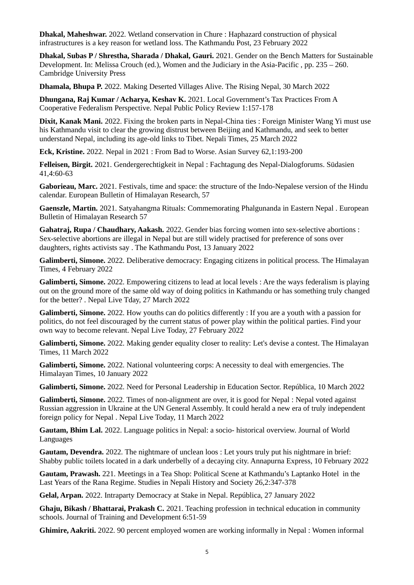**Dhakal, Maheshwar.** 2022. Wetland conservation in Chure : Haphazard construction of physical infrastructures is a key reason for wetland loss. The Kathmandu Post, 23 February 2022

**Dhakal, Subas P / Shrestha, Sharada / Dhakal, Gauri.** 2021. Gender on the Bench Matters for Sustainable Development. In: Melissa Crouch (ed.), Women and the Judiciary in the Asia-Pacific , pp. 235 – 260. Cambridge University Press

**Dhamala, Bhupa P.** 2022. Making Deserted Villages Alive. The Rising Nepal, 30 March 2022

**Dhungana, Raj Kumar / Acharya, Keshav K.** 2021. Local Government's Tax Practices From A Cooperative Federalism Perspective. Nepal Public Policy Review 1:157-178

**Dixit, Kanak Mani.** 2022. Fixing the broken parts in Nepal-China ties : Foreign Minister Wang Yi must use his Kathmandu visit to clear the growing distrust between Beijing and Kathmandu, and seek to better understand Nepal, including its age-old links to Tibet. Nepali Times, 25 March 2022

**Eck, Kristine.** 2022. Nepal in 2021 : From Bad to Worse. Asian Survey 62,1:193-200

**Felleisen, Birgit.** 2021. Gendergerechtigkeit in Nepal : Fachtagung des Nepal-Dialogforums. Südasien 41,4:60-63

**Gaborieau, Marc.** 2021. Festivals, time and space: the structure of the Indo-Nepalese version of the Hindu calendar. European Bulletin of Himalayan Research, 57

**Gaenszle, Martin.** 2021. Satyahangma Rituals: Commemorating Phalgunanda in Eastern Nepal . European Bulletin of Himalayan Research 57

**Gahatraj, Rupa / Chaudhary, Aakash.** 2022. Gender bias forcing women into sex-selective abortions : Sex-selective abortions are illegal in Nepal but are still widely practised for preference of sons over daughters, rights activists say . The Kathmandu Post, 13 January 2022

**Galimberti, Simone.** 2022. Deliberative democracy: Engaging citizens in political process. The Himalayan Times, 4 February 2022

**Galimberti, Simone.** 2022. Empowering citizens to lead at local levels : Are the ways federalism is playing out on the ground more of the same old way of doing politics in Kathmandu or has something truly changed for the better? . Nepal Live Tday, 27 March 2022

**Galimberti, Simone.** 2022. How youths can do politics differently : If you are a youth with a passion for politics, do not feel discouraged by the current status of power play within the political parties. Find your own way to become relevant. Nepal Live Today, 27 February 2022

**Galimberti, Simone.** 2022. Making gender equality closer to reality: Let's devise a contest. The Himalayan Times, 11 March 2022

**Galimberti, Simone.** 2022. National volunteering corps: A necessity to deal with emergencies. The Himalayan Times, 10 January 2022

**Galimberti, Simone.** 2022. Need for Personal Leadership in Education Sector. República, 10 March 2022

**Galimberti, Simone.** 2022. Times of non-alignment are over, it is good for Nepal : Nepal voted against Russian aggression in Ukraine at the UN General Assembly. It could herald a new era of truly independent foreign policy for Nepal . Nepal Live Today, 11 March 2022

**Gautam, Bhim Lal.** 2022. Language politics in Nepal: a socio- historical overview. Journal of World Languages

**Gautam, Devendra.** 2022. The nightmare of unclean loos : Let yours truly put his nightmare in brief: Shabby public toilets located in a dark underbelly of a decaying city. Annapurna Express, 10 February 2022

**Gautam, Prawash.** 221. Meetings in a Tea Shop: Political Scene at Kathmandu's Laptanko Hotel in the Last Years of the Rana Regime. Studies in Nepali History and Society 26,2:347-378

**Gelal, Arpan.** 2022. Intraparty Democracy at Stake in Nepal. República, 27 January 2022

**Ghaju, Bikash / Bhattarai, Prakash C.** 2021. Teaching profession in technical education in community schools. Journal of Training and Development 6:51-59

**Ghimire, Aakriti.** 2022. 90 percent employed women are working informally in Nepal : Women informal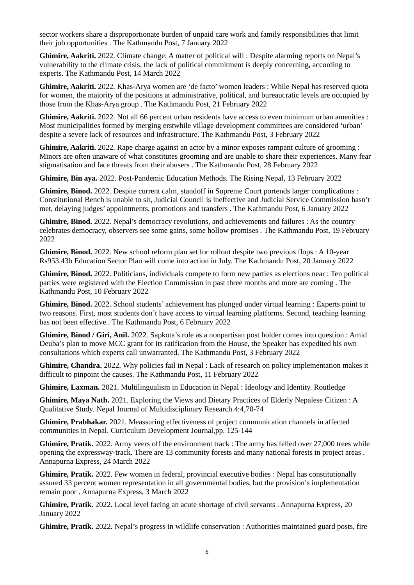sector workers share a disproportionate burden of unpaid care work and family responsibilities that limit their job opportunities . The Kathmandu Post, 7 January 2022

**Ghimire, Aakriti.** 2022. Climate change: A matter of political will : Despite alarming reports on Nepal's vulnerability to the climate crisis, the lack of political commitment is deeply concerning, according to experts. The Kathmandu Post, 14 March 2022

**Ghimire, Aakriti.** 2022. Khas-Arya women are 'de facto' women leaders : While Nepal has reserved quota for women, the majority of the positions at administrative, political, and bureaucratic levels are occupied by those from the Khas-Arya group . The Kathmandu Post, 21 February 2022

**Ghimire, Aakriti.** 2022. Not all 66 percent urban residents have access to even minimum urban amenities : Most municipalities formed by merging erstwhile village development committees are considered 'urban' despite a severe lack of resources and infrastructure. The Kathmandu Post, 3 February 2022

**Ghimire, Aakriti.** 2022. Rape charge against an actor by a minor exposes rampant culture of grooming : Minors are often unaware of what constitutes grooming and are unable to share their experiences. Many fear stigmatisation and face threats from their abusers . The Kathmandu Post, 28 February 2022

**Ghimire, Bin aya.** 2022. Post-Pandemic Education Methods. The Rising Nepal, 13 February 2022

**Ghimire, Binod.** 2022. Despite current calm, standoff in Supreme Court portends larger complications : Constitutional Bench is unable to sit, Judicial Council is ineffective and Judicial Service Commission hasn't met, delaying judges' appointments, promotions and transfers . The Kathmandu Post, 6 January 2022

**Ghimire, Binod.** 2022. Nepal's democracy revolutions, and achievements and failures : As the country celebrates democracy, observers see some gains, some hollow promises . The Kathmandu Post, 19 February 2022

**Ghimire, Binod.** 2022. New school reform plan set for rollout despite two previous flops : A 10-year Rs953.43b Education Sector Plan will come into action in July. The Kathmandu Post, 20 January 2022

**Ghimire, Binod.** 2022. Politicians, individuals compete to form new parties as elections near : Ten political parties were registered with the Election Commission in past three months and more are coming . The Kathmandu Post, 10 February 2022

**Ghimire, Binod.** 2022. School students' achievement has plunged under virtual learning : Experts point to two reasons. First, most students don't have access to virtual learning platforms. Second, teaching learning has not been effective . The Kathmandu Post, 6 February 2022

**Ghimire, Binod / Giri, Anil.** 2022. Sapkota's role as a nonpartisan post holder comes into question : Amid Deuba's plan to move MCC grant for its ratification from the House, the Speaker has expedited his own consultations which experts call unwarranted. The Kathmandu Post, 3 February 2022

**Ghimire, Chandra.** 2022. Why policies fail in Nepal : Lack of research on policy implementation makes it difficult to pinpoint the causes. The Kathmandu Post, 11 February 2022

**Ghimire, Laxman.** 2021. Multilingualism in Education in Nepal : Ideology and Identity. Routledge

**Ghimire, Maya Nath.** 2021. Exploring the Views and Dietary Practices of Elderly Nepalese Citizen : A Qualitative Study. Nepal Journal of Multidisciplinary Research 4:4,70-74

**Ghimire, Prabhakar.** 2021. Meassuring effectiveness of project communication channels in affected communities in Nepal. Curriculum Development Journal,pp. 125-144

**Ghimire, Pratik.** 2022. Army veers off the environment track : The army has felled over 27,000 trees while opening the expressway-track. There are 13 community forests and many national forests in project areas . Annapurna Express, 24 March 2022

**Ghimire, Pratik.** 2022. Few women in federal, provincial executive bodies : Nepal has constitutionally assured 33 percent women representation in all governmental bodies, but the provision's implementation remain poor . Annapurna Express, 3 March 2022

**Ghimire, Pratik.** 2022. Local level facing an acute shortage of civil servants . Annapurna Express, 20 January 2022

**Ghimire, Pratik.** 2022. Nepal's progress in wildlife conservation : Authorities maintained guard posts, fire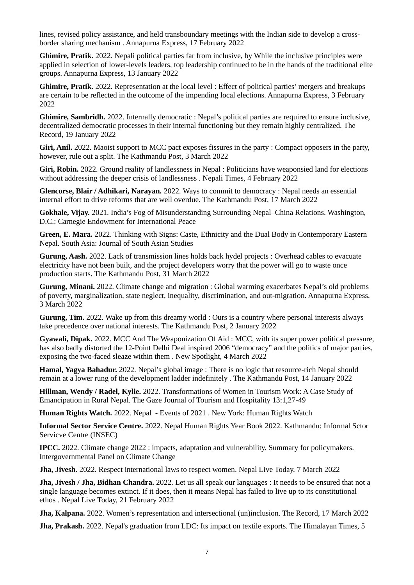lines, revised policy assistance, and held transboundary meetings with the Indian side to develop a crossborder sharing mechanism . Annapurna Express, 17 February 2022

**Ghimire, Pratik.** 2022. Nepali political parties far from inclusive, by While the inclusive principles were applied in selection of lower-levels leaders, top leadership continued to be in the hands of the traditional elite groups. Annapurna Express, 13 January 2022

**Ghimire, Pratik.** 2022. Representation at the local level : Effect of political parties' mergers and breakups are certain to be reflected in the outcome of the impending local elections. Annapurna Express, 3 February 2022

**Ghimire, Sambridh.** 2022. Internally democratic : Nepal's political parties are required to ensure inclusive, decentralized democratic processes in their internal functioning but they remain highly centralized. The Record, 19 January 2022

**Giri, Anil.** 2022. Maoist support to MCC pact exposes fissures in the party : Compact opposers in the party, however, rule out a split. The Kathmandu Post, 3 March 2022

**Giri, Robin.** 2022. Ground reality of landlessness in Nepal : Politicians have weaponsied land for elections without addressing the deeper crisis of landlessness . Nepali Times, 4 February 2022

**Glencorse, Blair / Adhikari, Narayan.** 2022. Ways to commit to democracy : Nepal needs an essential internal effort to drive reforms that are well overdue. The Kathmandu Post, 17 March 2022

**Gokhale, Vijay.** 2021. India's Fog of Misunderstanding Surrounding Nepal–China Relations. Washington, D.C.: Carnegie Endowment for International Peace

**Green, E. Mara.** 2022. Thinking with Signs: Caste, Ethnicity and the Dual Body in Contemporary Eastern Nepal. South Asia: Journal of South Asian Studies

**Gurung, Aash.** 2022. Lack of transmission lines holds back hydel projects : Overhead cables to evacuate electricity have not been built, and the project developers worry that the power will go to waste once production starts. The Kathmandu Post, 31 March 2022

**Gurung, Minani.** 2022. Climate change and migration : Global warming exacerbates Nepal's old problems of poverty, marginalization, state neglect, inequality, discrimination, and out-migration. Annapurna Express, 3 March 2022

**Gurung, Tim.** 2022. Wake up from this dreamy world : Ours is a country where personal interests always take precedence over national interests. The Kathmandu Post, 2 January 2022

**Gyawali, Dipak.** 2022. MCC And The Weaponization Of Aid : MCC, with its super power political pressure, has also badly distorted the 12-Point Delhi Deal inspired 2006 "democracy" and the politics of major parties, exposing the two-faced sleaze within them . New Spotlight, 4 March 2022

**Hamal, Yagya Bahadur.** 2022. Nepal's global image : There is no logic that resource-rich Nepal should remain at a lower rung of the development ladder indefinitely . The Kathmandu Post, 14 January 2022

**Hillman, Wendy / Radel, Kylie.** 2022. Transformations of Women in Tourism Work: A Case Study of Emancipation in Rural Nepal. The Gaze Journal of Tourism and Hospitality 13:1,27-49

**Human Rights Watch.** 2022. Nepal - Events of 2021 . New York: Human Rights Watch

**Informal Sector Service Centre.** 2022. Nepal Human Rights Year Book 2022. Kathmandu: Informal Sctor Servicve Centre (INSEC)

**IPCC.** 2022. Climate change 2022 : impacts, adaptation and vulnerability. Summary for policymakers. Intergovernmental Panel on Climate Change

**Jha, Jivesh.** 2022. Respect international laws to respect women. Nepal Live Today, 7 March 2022

**Jha, Jivesh / Jha, Bidhan Chandra.** 2022. Let us all speak our languages : It needs to be ensured that not a single language becomes extinct. If it does, then it means Nepal has failed to live up to its constitutional ethos . Nepal Live Today, 21 February 2022

**Jha, Kalpana.** 2022. Women's representation and intersectional (un)inclusion. The Record, 17 March 2022

**Jha, Prakash.** 2022. Nepal's graduation from LDC: Its impact on textile exports. The Himalayan Times, 5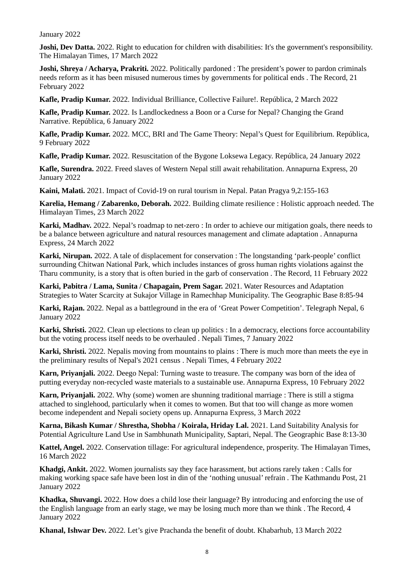January 2022

**Joshi, Dev Datta.** 2022. Right to education for children with disabilities: It's the government's responsibility. The Himalayan Times, 17 March 2022

**Joshi, Shreya / Acharya, Prakriti.** 2022. Politically pardoned : The president's power to pardon criminals needs reform as it has been misused numerous times by governments for political ends . The Record, 21 February 2022

**Kafle, Pradip Kumar.** 2022. Individual Brilliance, Collective Failure!. República, 2 March 2022

**Kafle, Pradip Kumar.** 2022. Is Landlockedness a Boon or a Curse for Nepal? Changing the Grand Narrative. República, 6 January 2022

**Kafle, Pradip Kumar.** 2022. MCC, BRI and The Game Theory: Nepal's Quest for Equilibrium. República, 9 February 2022

**Kafle, Pradip Kumar.** 2022. Resuscitation of the Bygone Loksewa Legacy. República, 24 January 2022

**Kafle, Surendra.** 2022. Freed slaves of Western Nepal still await rehabilitation. Annapurna Express, 20 January 2022

**Kaini, Malati.** 2021. Impact of Covid-19 on rural tourism in Nepal. Patan Pragya 9,2:155-163

**Karelia, Hemang / Zabarenko, Deborah.** 2022. Building climate resilience : Holistic approach needed. The Himalayan Times, 23 March 2022

**Karki, Madhav.** 2022. Nepal's roadmap to net-zero : In order to achieve our mitigation goals, there needs to be a balance between agriculture and natural resources management and climate adaptation . Annapurna Express, 24 March 2022

**Karki, Nirupan.** 2022. A tale of displacement for conservation : The longstanding 'park-people' conflict surrounding Chitwan National Park, which includes instances of gross human rights violations against the Tharu community, is a story that is often buried in the garb of conservation . The Record, 11 February 2022

**Karki, Pabitra / Lama, Sunita / Chapagain, Prem Sagar.** 2021. Water Resources and Adaptation Strategies to Water Scarcity at Sukajor Village in Ramechhap Municipality. The Geographic Base 8:85-94

**Karki, Rajan.** 2022. Nepal as a battleground in the era of 'Great Power Competition'. Telegraph Nepal, 6 January 2022

**Karki, Shristi.** 2022. Clean up elections to clean up politics : In a democracy, elections force accountability but the voting process itself needs to be overhauled . Nepali Times, 7 January 2022

**Karki, Shristi.** 2022. Nepalis moving from mountains to plains : There is much more than meets the eye in the preliminary results of Nepal's 2021 census . Nepali Times, 4 February 2022

**Karn, Priyanjali.** 2022. Deego Nepal: Turning waste to treasure. The company was born of the idea of putting everyday non-recycled waste materials to a sustainable use. Annapurna Express, 10 February 2022

**Karn, Priyanjali.** 2022. Why (some) women are shunning traditional marriage : There is still a stigma attached to singlehood, particularly when it comes to women. But that too will change as more women become independent and Nepali society opens up. Annapurna Express, 3 March 2022

**Karna, Bikash Kumar / Shrestha, Shobha / Koirala, Hriday Lal.** 2021. Land Suitability Analysis for Potential Agriculture Land Use in Sambhunath Municipality, Saptari, Nepal. The Geographic Base 8:13-30

**Kattel, Angel.** 2022. Conservation tillage: For agricultural independence, prosperity. The Himalayan Times, 16 March 2022

**Khadgi, Ankit.** 2022. Women journalists say they face harassment, but actions rarely taken : Calls for making working space safe have been lost in din of the 'nothing unusual' refrain . The Kathmandu Post, 21 January 2022

**Khadka, Shuvangi.** 2022. How does a child lose their language? By introducing and enforcing the use of the English language from an early stage, we may be losing much more than we think . The Record, 4 January 2022

**Khanal, Ishwar Dev.** 2022. Let's give Prachanda the benefit of doubt. Khabarhub, 13 March 2022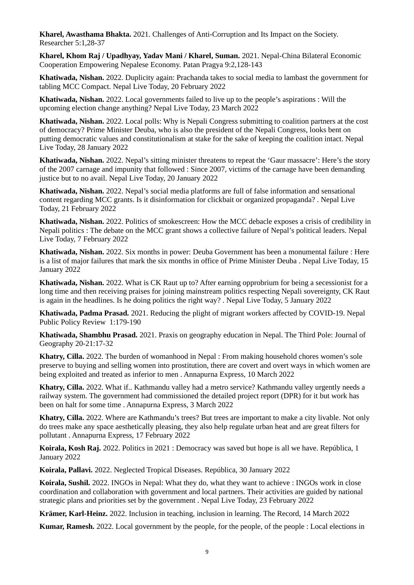**Kharel, Awasthama Bhakta.** 2021. Challenges of Anti-Corruption and Its Impact on the Society. Researcher 5:1,28-37

**Kharel, Khom Raj / Upadhyay, Yadav Mani / Kharel, Suman.** 2021. Nepal-China Bilateral Economic Cooperation Empowering Nepalese Economy. Patan Pragya 9:2,128-143

**Khatiwada, Nishan.** 2022. Duplicity again: Prachanda takes to social media to lambast the government for tabling MCC Compact. Nepal Live Today, 20 February 2022

**Khatiwada, Nishan.** 2022. Local governments failed to live up to the people's aspirations : Will the upcoming election change anything? Nepal Live Today, 23 March 2022

**Khatiwada, Nishan.** 2022. Local polls: Why is Nepali Congress submitting to coalition partners at the cost of democracy? Prime Minister Deuba, who is also the president of the Nepali Congress, looks bent on putting democratic values and constitutionalism at stake for the sake of keeping the coalition intact. Nepal Live Today, 28 January 2022

**Khatiwada, Nishan.** 2022. Nepal's sitting minister threatens to repeat the 'Gaur massacre': Here's the story of the 2007 carnage and impunity that followed : Since 2007, victims of the carnage have been demanding justice but to no avail. Nepal Live Today, 20 January 2022

**Khatiwada, Nishan.** 2022. Nepal's social media platforms are full of false information and sensational content regarding MCC grants. Is it disinformation for clickbait or organized propaganda? . Nepal Live Today, 21 February 2022

**Khatiwada, Nishan.** 2022. Politics of smokescreen: How the MCC debacle exposes a crisis of credibility in Nepali politics : The debate on the MCC grant shows a collective failure of Nepal's political leaders. Nepal Live Today, 7 February 2022

**Khatiwada, Nishan.** 2022. Six months in power: Deuba Government has been a monumental failure : Here is a list of major failures that mark the six months in office of Prime Minister Deuba . Nepal Live Today, 15 January 2022

**Khatiwada, Nishan.** 2022. What is CK Raut up to? After earning opprobrium for being a secessionist for a long time and then receiving praises for joining mainstream politics respecting Nepali sovereignty, CK Raut is again in the headlines. Is he doing politics the right way? . Nepal Live Today, 5 January 2022

**Khatiwada, Padma Prasad.** 2021. Reducing the plight of migrant workers affected by COVID-19. Nepal Public Policy Review 1:179-190

**Khatiwada, Shambhu Prasad.** 2021. Praxis on geography education in Nepal. The Third Pole: Journal of Geography 20-21:17-32

**Khatry, Cilla.** 2022. The burden of womanhood in Nepal : From making household chores women's sole preserve to buying and selling women into prostitution, there are covert and overt ways in which women are being exploited and treated as inferior to men . Annapurna Express, 10 March 2022

**Khatry, Cilla.** 2022. What if.. Kathmandu valley had a metro service? Kathmandu valley urgently needs a railway system. The government had commissioned the detailed project report (DPR) for it but work has been on halt for some time . Annapurna Express, 3 March 2022

**Khatry, Cilla.** 2022. Where are Kathmandu's trees? But trees are important to make a city livable. Not only do trees make any space aesthetically pleasing, they also help regulate urban heat and are great filters for pollutant . Annapurna Express, 17 February 2022

**Koirala, Kosh Raj.** 2022. Politics in 2021 : Democracy was saved but hope is all we have. República, 1 January 2022

**Koirala, Pallavi.** 2022. Neglected Tropical Diseases. República, 30 January 2022

**Koirala, Sushil.** 2022. INGOs in Nepal: What they do, what they want to achieve : INGOs work in close coordination and collaboration with government and local partners. Their activities are guided by national strategic plans and priorities set by the government . Nepal Live Today, 23 February 2022

**Krämer, Karl-Heinz.** 2022. Inclusion in teaching, inclusion in learning. The Record, 14 March 2022

**Kumar, Ramesh.** 2022. Local government by the people, for the people, of the people : Local elections in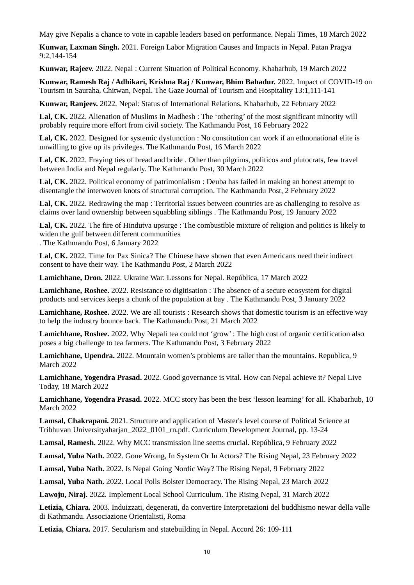May give Nepalis a chance to vote in capable leaders based on performance. Nepali Times, 18 March 2022

**Kunwar, Laxman Singh.** 2021. Foreign Labor Migration Causes and Impacts in Nepal. Patan Pragya 9:2,144-154

**Kunwar, Rajeev.** 2022. Nepal : Current Situation of Political Economy. Khabarhub, 19 March 2022

**Kunwar, Ramesh Raj / Adhikari, Krishna Raj / Kunwar, Bhim Bahadur.** 2022. Impact of COVID-19 on Tourism in Sauraha, Chitwan, Nepal. The Gaze Journal of Tourism and Hospitality 13:1,111-141

**Kunwar, Ranjeev.** 2022. Nepal: Status of International Relations. Khabarhub, 22 February 2022

**Lal, CK.** 2022. Alienation of Muslims in Madhesh : The 'othering' of the most significant minority will probably require more effort from civil society. The Kathmandu Post, 16 February 2022

**Lal, CK.** 2022. Designed for systemic dysfunction : No constitution can work if an ethnonational elite is unwilling to give up its privileges. The Kathmandu Post, 16 March 2022

**Lal, CK.** 2022. Fraying ties of bread and bride . Other than pilgrims, politicos and plutocrats, few travel between India and Nepal regularly. The Kathmandu Post, 30 March 2022

**Lal, CK.** 2022. Political economy of patrimonialism : Deuba has failed in making an honest attempt to disentangle the interwoven knots of structural corruption. The Kathmandu Post, 2 February 2022

**Lal, CK.** 2022. Redrawing the map : Territorial issues between countries are as challenging to resolve as claims over land ownership between squabbling siblings . The Kathmandu Post, 19 January 2022

**Lal, CK.** 2022. The fire of Hindutva upsurge : The combustible mixture of religion and politics is likely to widen the gulf between different communities . The Kathmandu Post, 6 January 2022

**Lal, CK.** 2022. Time for Pax Sinica? The Chinese have shown that even Americans need their indirect consent to have their way. The Kathmandu Post, 2 March 2022

**Lamichhane, Dron.** 2022. Ukraine War: Lessons for Nepal. República, 17 March 2022

**Lamichhane, Roshee.** 2022. Resistance to digitisation : The absence of a secure ecosystem for digital products and services keeps a chunk of the population at bay . The Kathmandu Post, 3 January 2022

**Lamichhane, Roshee.** 2022. We are all tourists : Research shows that domestic tourism is an effective way to help the industry bounce back. The Kathmandu Post, 21 March 2022

**Lamichhane, Roshee.** 2022. Why Nepali tea could not 'grow' : The high cost of organic certification also poses a big challenge to tea farmers. The Kathmandu Post, 3 February 2022

**Lamichhane, Upendra.** 2022. Mountain women's problems are taller than the mountains. Republica, 9 March 2022

**Lamichhane, Yogendra Prasad.** 2022. Good governance is vital. How can Nepal achieve it? Nepal Live Today, 18 March 2022

**Lamichhane, Yogendra Prasad.** 2022. MCC story has been the best 'lesson learning' for all. Khabarhub, 10 March 2022

**Lamsal, Chakrapani.** 2021. Structure and application of Master's level course of Political Science at Tribhuvan Universityaharjan\_2022\_0101\_rn.pdf. Curriculum Development Journal, pp. 13-24

**Lamsal, Ramesh.** 2022. Why MCC transmission line seems crucial. República, 9 February 2022

**Lamsal, Yuba Nath.** 2022. Gone Wrong, In System Or In Actors? The Rising Nepal, 23 February 2022

**Lamsal, Yuba Nath.** 2022. Is Nepal Going Nordic Way? The Rising Nepal, 9 February 2022

**Lamsal, Yuba Nath.** 2022. Local Polls Bolster Democracy. The Rising Nepal, 23 March 2022

**Lawoju, Niraj.** 2022. Implement Local School Curriculum. The Rising Nepal, 31 March 2022

**Letizia, Chiara.** 2003. Induizzati, degenerati, da convertire Interpretazioni del buddhismo newar della valle di Kathmandu. Associazione Orientalisti, Roma

**Letizia, Chiara.** 2017. Secularism and statebuilding in Nepal. Accord 26: 109-111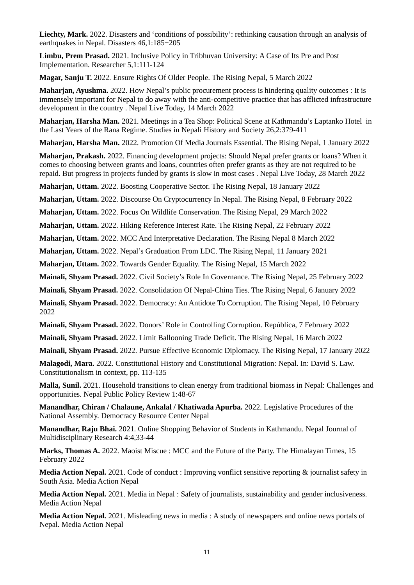**Liechty, Mark.** 2022. Disasters and 'conditions of possibility': rethinking causation through an analysis of earthquakes in Nepal. Disasters 46,1:185−205

**Limbu, Prem Prasad.** 2021. Inclusive Policy in Tribhuvan University: A Case of Its Pre and Post Implementation. Researcher 5,1:111-124

**Magar, Sanju T.** 2022. Ensure Rights Of Older People. The Rising Nepal, 5 March 2022

**Maharjan, Ayushma.** 2022. How Nepal's public procurement process is hindering quality outcomes : It is immensely important for Nepal to do away with the anti-competitive practice that has afflicted infrastructure development in the country . Nepal Live Today, 14 March 2022

**Maharjan, Harsha Man.** 2021. Meetings in a Tea Shop: Political Scene at Kathmandu's Laptanko Hotel in the Last Years of the Rana Regime. Studies in Nepali History and Society 26,2:379-411

**Maharjan, Harsha Man.** 2022. Promotion Of Media Journals Essential. The Rising Nepal, 1 January 2022

**Maharjan, Prakash.** 2022. Financing development projects: Should Nepal prefer grants or loans? When it comes to choosing between grants and loans, countries often prefer grants as they are not required to be repaid. But progress in projects funded by grants is slow in most cases . Nepal Live Today, 28 March 2022

**Maharjan, Uttam.** 2022. Boosting Cooperative Sector. The Rising Nepal, 18 January 2022

**Maharjan, Uttam.** 2022. Discourse On Cryptocurrency In Nepal. The Rising Nepal, 8 February 2022

**Maharjan, Uttam.** 2022. Focus On Wildlife Conservation. The Rising Nepal, 29 March 2022

**Maharjan, Uttam.** 2022. Hiking Reference Interest Rate. The Rising Nepal, 22 February 2022

**Maharjan, Uttam.** 2022. MCC And Interpretative Declaration. The Rising Nepal 8 March 2022

**Maharjan, Uttam.** 2022. Nepal's Graduation From LDC. The Rising Nepal, 11 January 2021

**Maharjan, Uttam.** 2022. Towards Gender Equality. The Rising Nepal, 15 March 2022

**Mainali, Shyam Prasad.** 2022. Civil Society's Role In Governance. The Rising Nepal, 25 February 2022

**Mainali, Shyam Prasad.** 2022. Consolidation Of Nepal-China Ties. The Rising Nepal, 6 January 2022

**Mainali, Shyam Prasad.** 2022. Democracy: An Antidote To Corruption. The Rising Nepal, 10 February 2022

**Mainali, Shyam Prasad.** 2022. Donors' Role in Controlling Corruption. República, 7 February 2022

**Mainali, Shyam Prasad.** 2022. Limit Ballooning Trade Deficit. The Rising Nepal, 16 March 2022

**Mainali, Shyam Prasad.** 2022. Pursue Effective Economic Diplomacy. The Rising Nepal, 17 January 2022

**Malagodi, Mara.** 2022. Constitutional History and Constitutional Migration: Nepal. In: David S. Law. Constitutionalism in context, pp. 113-135

**Malla, Sunil.** 2021. Household transitions to clean energy from traditional biomass in Nepal: Challenges and opportunities. Nepal Public Policy Review 1:48-67

**Manandhar, Chiran / Chalaune, Ankalal / Khatiwada Apurba.** 2022. Legislative Procedures of the National Assembly. Democracy Resource Center Nepal

**Manandhar, Raju Bhai.** 2021. Online Shopping Behavior of Students in Kathmandu. Nepal Journal of Multidisciplinary Research 4:4,33-44

**Marks, Thomas A.** 2022. Maoist Miscue : MCC and the Future of the Party. The Himalayan Times, 15 February 2022

**Media Action Nepal.** 2021. Code of conduct : Improving vonflict sensitive reporting & journalist safety in South Asia. Media Action Nepal

**Media Action Nepal.** 2021. Media in Nepal : Safety of journalists, sustainability and gender inclusiveness. Media Action Nepal

**Media Action Nepal.** 2021. Misleading news in media : A study of newspapers and online news portals of Nepal. Media Action Nepal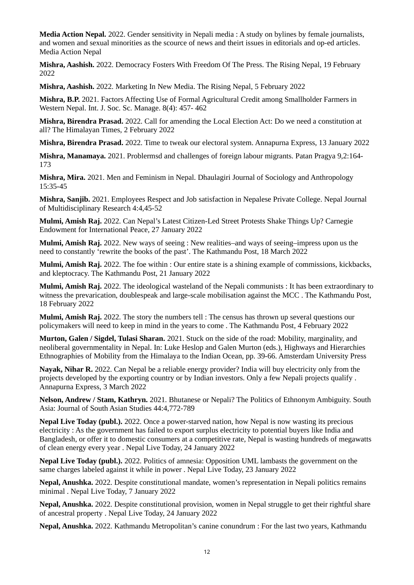**Media Action Nepal.** 2022. Gender sensitivity in Nepali media : A study on bylines by female journalists, and women and sexual minorities as the scource of news and theirt issues in editorials and op-ed articles. Media Action Nepal

**Mishra, Aashish.** 2022. Democracy Fosters With Freedom Of The Press. The Rising Nepal, 19 February 2022

**Mishra, Aashish.** 2022. Marketing In New Media. The Rising Nepal, 5 February 2022

**Mishra, B.P.** 2021. Factors Affecting Use of Formal Agricultural Credit among Smallholder Farmers in Western Nepal. Int. J. Soc. Sc. Manage. 8(4): 457- 462

**Mishra, Birendra Prasad.** 2022. Call for amending the Local Election Act: Do we need a constitution at all? The Himalayan Times, 2 February 2022

**Mishra, Birendra Prasad.** 2022. Time to tweak our electoral system. Annapurna Express, 13 January 2022

**Mishra, Manamaya.** 2021. Problermsd and challenges of foreign labour migrants. Patan Pragya 9,2:164- 173

**Mishra, Mira.** 2021. Men and Feminism in Nepal. Dhaulagiri Journal of Sociology and Anthropology 15:35-45

**Mishra, Sanjib.** 2021. Employees Respect and Job satisfaction in Nepalese Private College. Nepal Journal of Multidisciplinary Research 4:4,45-52

**Mulmi, Amish Raj.** 2022. Can Nepal's Latest Citizen-Led Street Protests Shake Things Up? Carnegie Endowment for International Peace, 27 January 2022

**Mulmi, Amish Raj.** 2022. New ways of seeing : New realities–and ways of seeing–impress upon us the need to constantly 'rewrite the books of the past'. The Kathmandu Post, 18 March 2022

**Mulmi, Amish Raj.** 2022. The foe within : Our entire state is a shining example of commissions, kickbacks, and kleptocracy. The Kathmandu Post, 21 January 2022

**Mulmi, Amish Raj.** 2022. The ideological wasteland of the Nepali communists : It has been extraordinary to witness the prevarication, doublespeak and large-scale mobilisation against the MCC . The Kathmandu Post, 18 February 2022

**Mulmi, Amish Raj.** 2022. The story the numbers tell : The census has thrown up several questions our policymakers will need to keep in mind in the years to come . The Kathmandu Post, 4 February 2022

**Murton, Galen / Sigdel, Tulasi Sharan.** 2021. Stuck on the side of the road: Mobility, marginality, and neoliberal governmentality in Nepal. In: Luke Heslop and Galen Murton (eds.), Highways and Hierarchies Ethnographies of Mobility from the Himalaya to the Indian Ocean, pp. 39-66. Amsterdam University Press

**Nayak, Nihar R.** 2022. Can Nepal be a reliable energy provider? India will buy electricity only from the projects developed by the exporting country or by Indian investors. Only a few Nepali projects qualify . Annapurna Express, 3 March 2022

**Nelson, Andrew / Stam, Kathryn.** 2021. Bhutanese or Nepali? The Politics of Ethnonym Ambiguity. South Asia: Journal of South Asian Studies 44:4,772-789

**Nepal Live Today (publ.).** 2022. Once a power-starved nation, how Nepal is now wasting its precious electricity : As the government has failed to export surplus electricity to potential buyers like India and Bangladesh, or offer it to domestic consumers at a competitive rate, Nepal is wasting hundreds of megawatts of clean energy every year . Nepal Live Today, 24 January 2022

**Nepal Live Today (publ.).** 2022. Politics of amnesia: Opposition UML lambasts the government on the same charges labeled against it while in power . Nepal Live Today, 23 January 2022

**Nepal, Anushka.** 2022. Despite constitutional mandate, women's representation in Nepali politics remains minimal . Nepal Live Today, 7 January 2022

**Nepal, Anushka.** 2022. Despite constitutional provision, women in Nepal struggle to get their rightful share of ancestral property . Nepal Live Today, 24 January 2022

**Nepal, Anushka.** 2022. Kathmandu Metropolitan's canine conundrum : For the last two years, Kathmandu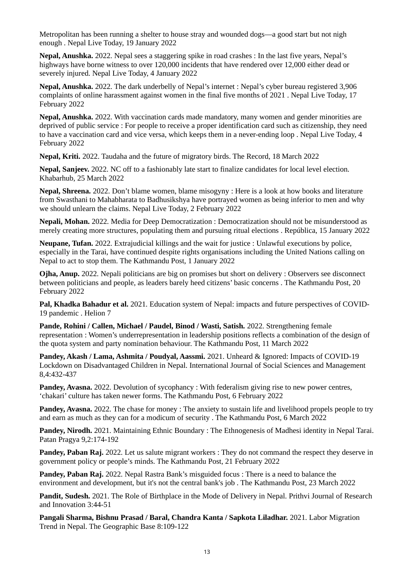Metropolitan has been running a shelter to house stray and wounded dogs—a good start but not nigh enough . Nepal Live Today, 19 January 2022

**Nepal, Anushka.** 2022. Nepal sees a staggering spike in road crashes : In the last five years, Nepal's highways have borne witness to over 120,000 incidents that have rendered over 12,000 either dead or severely injured. Nepal Live Today, 4 January 2022

**Nepal, Anushka.** 2022. The dark underbelly of Nepal's internet : Nepal's cyber bureau registered 3,906 complaints of online harassment against women in the final five months of 2021 . Nepal Live Today, 17 February 2022

**Nepal, Anushka.** 2022. With vaccination cards made mandatory, many women and gender minorities are deprived of public service : For people to receive a proper identification card such as citizenship, they need to have a vaccination card and vice versa, which keeps them in a never-ending loop . Nepal Live Today, 4 February 2022

**Nepal, Kriti.** 2022. Taudaha and the future of migratory birds. The Record, 18 March 2022

**Nepal, Sanjeev.** 2022. NC off to a fashionably late start to finalize candidates for local level election. Khabarhub, 25 March 2022

**Nepal, Shreena.** 2022. Don't blame women, blame misogyny : Here is a look at how books and literature from Swasthani to Mahabharata to Badhusikshya have portrayed women as being inferior to men and why we should unlearn the claims. Nepal Live Today, 2 February 2022

**Nepali, Mohan.** 2022. Media for Deep Democratization : Democratization should not be misunderstood as merely creating more structures, populating them and pursuing ritual elections . República, 15 January 2022

**Neupane, Tufan.** 2022. Extrajudicial killings and the wait for justice : Unlawful executions by police, especially in the Tarai, have continued despite rights organisations including the United Nations calling on Nepal to act to stop them. The Kathmandu Post, 1 January 2022

**Ojha, Anup.** 2022. Nepali politicians are big on promises but short on delivery : Observers see disconnect between politicians and people, as leaders barely heed citizens' basic concerns . The Kathmandu Post, 20 February 2022

**Pal, Khadka Bahadur et al.** 2021. Education system of Nepal: impacts and future perspectives of COVID-19 pandemic . Helion 7

**Pande, Rohini / Callen, Michael / Paudel, Binod / Wasti, Satish.** 2022. Strengthening female representation : Women's underrepresentation in leadership positions reflects a combination of the design of the quota system and party nomination behaviour. The Kathmandu Post, 11 March 2022

**Pandey, Akash / Lama, Ashmita / Poudyal, Aassmi.** 2021. Unheard & Ignored: Impacts of COVID-19 Lockdown on Disadvantaged Children in Nepal. International Journal of Social Sciences and Management 8,4:432-437

**Pandey, Avasna.** 2022. Devolution of sycophancy : With federalism giving rise to new power centres, 'chakari' culture has taken newer forms. The Kathmandu Post, 6 February 2022

**Pandey, Avasna.** 2022. The chase for money : The anxiety to sustain life and livelihood propels people to try and earn as much as they can for a modicum of security . The Kathmandu Post, 6 March 2022

**Pandey, Nirodh.** 2021. Maintaining Ethnic Boundary : The Ethnogenesis of Madhesi identity in Nepal Tarai. Patan Pragya 9,2:174-192

**Pandey, Paban Raj.** 2022. Let us salute migrant workers : They do not command the respect they deserve in government policy or people's minds. The Kathmandu Post, 21 February 2022

**Pandey, Paban Raj.** 2022. Nepal Rastra Bank's misguided focus : There is a need to balance the environment and development, but it's not the central bank's job . The Kathmandu Post, 23 March 2022

**Pandit, Sudesh.** 2021. The Role of Birthplace in the Mode of Delivery in Nepal. Prithvi Journal of Research and Innovation 3:44-51

**Pangali Sharma, Bishnu Prasad / Baral, Chandra Kanta / Sapkota Liladhar.** 2021. Labor Migration Trend in Nepal. The Geographic Base 8:109-122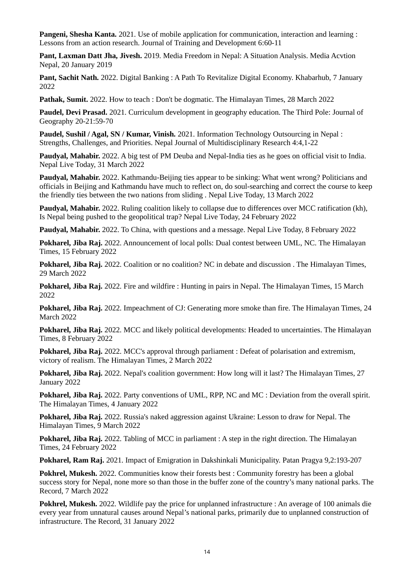**Pangeni, Shesha Kanta.** 2021. Use of mobile application for communication, interaction and learning : Lessons from an action research. Journal of Training and Development 6:60-11

**Pant, Laxman Datt Jha, Jivesh.** 2019. Media Freedom in Nepal: A Situation Analysis. Media Acvtion Nepal, 20 January 2019

**Pant, Sachit Nath.** 2022. Digital Banking : A Path To Revitalize Digital Economy. Khabarhub, 7 January 2022

**Pathak, Sumit.** 2022. How to teach : Don't be dogmatic. The Himalayan Times, 28 March 2022

**Paudel, Devi Prasad.** 2021. Curriculum development in geography education. The Third Pole: Journal of Geography 20-21:59-70

**Paudel, Sushil / Agal, SN / Kumar, Vinish.** 2021. Information Technology Outsourcing in Nepal : Strengths, Challenges, and Priorities. Nepal Journal of Multidisciplinary Research 4:4,1-22

**Paudyal, Mahabir.** 2022. A big test of PM Deuba and Nepal-India ties as he goes on official visit to India. Nepal Live Today, 31 March 2022

**Paudyal, Mahabir.** 2022. Kathmandu-Beijing ties appear to be sinking: What went wrong? Politicians and officials in Beijing and Kathmandu have much to reflect on, do soul-searching and correct the course to keep the friendly ties between the two nations from sliding . Nepal Live Today, 13 March 2022

**Paudyal, Mahabir.** 2022. Ruling coalition likely to collapse due to differences over MCC ratification (kh), Is Nepal being pushed to the geopolitical trap? Nepal Live Today, 24 February 2022

**Paudyal, Mahabir.** 2022. To China, with questions and a message. Nepal Live Today, 8 February 2022

**Pokharel, Jiba Raj.** 2022. Announcement of local polls: Dual contest between UML, NC. The Himalayan Times, 15 February 2022

**Pokharel, Jiba Raj.** 2022. Coalition or no coalition? NC in debate and discussion . The Himalayan Times, 29 March 2022

**Pokharel, Jiba Raj.** 2022. Fire and wildfire : Hunting in pairs in Nepal. The Himalayan Times, 15 March 2022

**Pokharel, Jiba Raj.** 2022. Impeachment of CJ: Generating more smoke than fire. The Himalayan Times, 24 March 2022

**Pokharel, Jiba Raj.** 2022. MCC and likely political developments: Headed to uncertainties. The Himalayan Times, 8 February 2022

**Pokharel, Jiba Raj.** 2022. MCC's approval through parliament : Defeat of polarisation and extremism, victory of realism. The Himalayan Times, 2 March 2022

**Pokharel, Jiba Raj.** 2022. Nepal's coalition government: How long will it last? The Himalayan Times, 27 January 2022

**Pokharel, Jiba Raj.** 2022. Party conventions of UML, RPP, NC and MC : Deviation from the overall spirit. The Himalayan Times, 4 January 2022

**Pokharel, Jiba Raj.** 2022. Russia's naked aggression against Ukraine: Lesson to draw for Nepal. The Himalayan Times, 9 March 2022

**Pokharel, Jiba Raj.** 2022. Tabling of MCC in parliament : A step in the right direction. The Himalayan Times, 24 February 2022

**Pokharel, Ram Raj.** 2021. Impact of Emigration in Dakshinkali Municipality. Patan Pragya 9,2:193-207

**Pokhrel, Mukesh.** 2022. Communities know their forests best : Community forestry has been a global success story for Nepal, none more so than those in the buffer zone of the country's many national parks. The Record, 7 March 2022

**Pokhrel, Mukesh.** 2022. Wildlife pay the price for unplanned infrastructure : An average of 100 animals die every year from unnatural causes around Nepal's national parks, primarily due to unplanned construction of infrastructure. The Record, 31 January 2022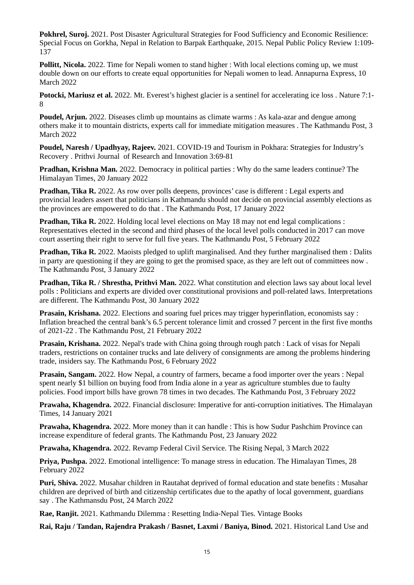**Pokhrel, Suroj.** 2021. Post Disaster Agricultural Strategies for Food Sufficiency and Economic Resilience: Special Focus on Gorkha, Nepal in Relation to Barpak Earthquake, 2015. Nepal Public Policy Review 1:109- 137

**Pollitt, Nicola.** 2022. Time for Nepali women to stand higher : With local elections coming up, we must double down on our efforts to create equal opportunities for Nepali women to lead. Annapurna Express, 10 March 2022

**Potocki, Mariusz et al.** 2022. Mt. Everest's highest glacier is a sentinel for accelerating ice loss . Nature 7:1- 8

**Poudel, Arjun.** 2022. Diseases climb up mountains as climate warms : As kala-azar and dengue among others make it to mountain districts, experts call for immediate mitigation measures . The Kathmandu Post, 3 March 2022

**Poudel, Naresh / Upadhyay, Rajeev.** 2021. COVID-19 and Tourism in Pokhara: Strategies for Industry's Recovery . Prithvi Journal of Research and Innovation 3:69-81

**Pradhan, Krishna Man.** 2022. Democracy in political parties : Why do the same leaders continue? The Himalayan Times, 20 January 2022

**Pradhan, Tika R.** 2022. As row over polls deepens, provinces' case is different : Legal experts and provincial leaders assert that politicians in Kathmandu should not decide on provincial assembly elections as the provinces are empowered to do that . The Kathmandu Post, 17 January 2022

**Pradhan, Tika R.** 2022. Holding local level elections on May 18 may not end legal complications : Representatives elected in the second and third phases of the local level polls conducted in 2017 can move court asserting their right to serve for full five years. The Kathmandu Post, 5 February 2022

**Pradhan, Tika R.** 2022. Maoists pledged to uplift marginalised. And they further marginalised them : Dalits in party are questioning if they are going to get the promised space, as they are left out of committees now . The Kathmandu Post, 3 January 2022

**Pradhan, Tika R. / Shrestha, Prithvi Man.** 2022. What constitution and election laws say about local level polls : Politicians and experts are divided over constitutional provisions and poll-related laws. Interpretations are different. The Kathmandu Post, 30 January 2022

**Prasain, Krishana.** 2022. Elections and soaring fuel prices may trigger hyperinflation, economists say : Inflation breached the central bank's 6.5 percent tolerance limit and crossed 7 percent in the first five months of 2021-22 . The Kathmandu Post, 21 February 2022

**Prasain, Krishana.** 2022. Nepal's trade with China going through rough patch : Lack of visas for Nepali traders, restrictions on container trucks and late delivery of consignments are among the problems hindering trade, insiders say. The Kathmandu Post, 6 February 2022

**Prasain, Sangam.** 2022. How Nepal, a country of farmers, became a food importer over the years : Nepal spent nearly \$1 billion on buying food from India alone in a year as agriculture stumbles due to faulty policies. Food import bills have grown 78 times in two decades. The Kathmandu Post, 3 February 2022

**Prawaha, Khagendra.** 2022. Financial disclosure: Imperative for anti-corruption initiatives. The Himalayan Times, 14 January 2021

**Prawaha, Khagendra.** 2022. More money than it can handle : This is how Sudur Pashchim Province can increase expenditure of federal grants. The Kathmandu Post, 23 January 2022

**Prawaha, Khagendra.** 2022. Revamp Federal Civil Service. The Rising Nepal, 3 March 2022

**Priya, Pushpa.** 2022. Emotional intelligence: To manage stress in education. The Himalayan Times, 28 February 2022

**Puri, Shiva.** 2022. Musahar children in Rautahat deprived of formal education and state benefits : Musahar children are deprived of birth and citizenship certificates due to the apathy of local government, guardians say . The Kathmansdu Post, 24 March 2022

**Rae, Ranjit.** 2021. Kathmandu Dilemma : Resetting India-Nepal Ties. Vintage Books

**Rai, Raju / Tandan, Rajendra Prakash / Basnet, Laxmi / Baniya, Binod.** 2021. Historical Land Use and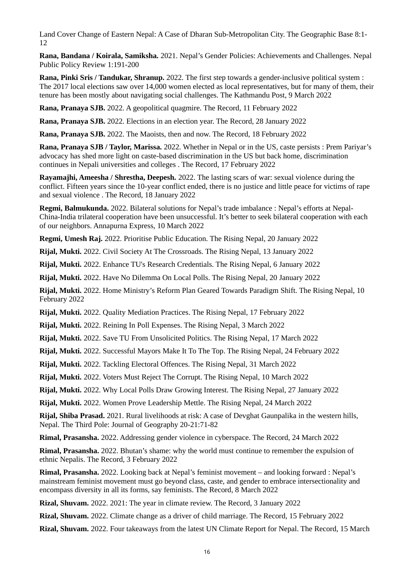Land Cover Change of Eastern Nepal: A Case of Dharan Sub-Metropolitan City. The Geographic Base 8:1- 12

**Rana, Bandana / Koirala, Samiksha.** 2021. Nepal's Gender Policies: Achievements and Challenges. Nepal Public Policy Review 1:191-200

**Rana, Pinki Sris / Tandukar, Shranup.** 2022. The first step towards a gender-inclusive political system : The 2017 local elections saw over 14,000 women elected as local representatives, but for many of them, their tenure has been mostly about navigating social challenges. The Kathmandu Post, 9 March 2022

**Rana, Pranaya SJB.** 2022. A geopolitical quagmire. The Record, 11 February 2022

**Rana, Pranaya SJB.** 2022. Elections in an election year. The Record, 28 January 2022

**Rana, Pranaya SJB.** 2022. The Maoists, then and now. The Record, 18 February 2022

**Rana, Pranaya SJB / Taylor, Marissa.** 2022. Whether in Nepal or in the US, caste persists : Prem Pariyar's advocacy has shed more light on caste-based discrimination in the US but back home, discrimination continues in Nepali universities and colleges . The Record, 17 February 2022

**Rayamajhi, Ameesha / Shrestha, Deepesh.** 2022. The lasting scars of war: sexual violence during the conflict. Fifteen years since the 10-year conflict ended, there is no justice and little peace for victims of rape and sexual violence . The Record, 18 January 2022

**Regmi, Balmukunda.** 2022. Bilateral solutions for Nepal's trade imbalance : Nepal's efforts at Nepal-China-India trilateral cooperation have been unsuccessful. It's better to seek bilateral cooperation with each of our neighbors. Annapurna Express, 10 March 2022

**Regmi, Umesh Raj.** 2022. Prioritise Public Education. The Rising Nepal, 20 January 2022

**Rijal, Mukti.** 2022. Civil Society At The Crossroads. The Rising Nepal, 13 January 2022

**Rijal, Mukti.** 2022. Enhance TU's Research Credentials. The Rising Nepal, 6 January 2022

**Rijal, Mukti.** 2022. Have No Dilemma On Local Polls. The Rising Nepal, 20 January 2022

**Rijal, Mukti.** 2022. Home Ministry's Reform Plan Geared Towards Paradigm Shift. The Rising Nepal, 10 February 2022

**Rijal, Mukti.** 2022. Quality Mediation Practices. The Rising Nepal, 17 February 2022

**Rijal, Mukti.** 2022. Reining In Poll Expenses. The Rising Nepal, 3 March 2022

**Rijal, Mukti.** 2022. Save TU From Unsolicited Politics. The Rising Nepal, 17 March 2022

**Rijal, Mukti.** 2022. Successful Mayors Make It To The Top. The Rising Nepal, 24 February 2022

**Rijal, Mukti.** 2022. Tackling Electoral Offences. The Rising Nepal, 31 March 2022

**Rijal, Mukti.** 2022. Voters Must Reject The Corrupt. The Rising Nepal, 10 March 2022

**Rijal, Mukti.** 2022. Why Local Polls Draw Growing Interest. The Rising Nepal, 27 January 2022

**Rijal, Mukti.** 2022. Women Prove Leadership Mettle. The Rising Nepal, 24 March 2022

**Rijal, Shiba Prasad.** 2021. Rural livelihoods at risk: A case of Devghat Gaunpalika in the western hills, Nepal. The Third Pole: Journal of Geography 20-21:71-82

**Rimal, Prasansha.** 2022. Addressing gender violence in cyberspace. The Record, 24 March 2022

**Rimal, Prasansha.** 2022. Bhutan's shame: why the world must continue to remember the expulsion of ethnic Nepalis. The Record, 3 February 2022

**Rimal, Prasansha.** 2022. Looking back at Nepal's feminist movement – and looking forward : Nepal's mainstream feminist movement must go beyond class, caste, and gender to embrace intersectionality and encompass diversity in all its forms, say feminists. The Record, 8 March 2022

**Rizal, Shuvam.** 2022. 2021: The year in climate review. The Record, 3 January 2022

**Rizal, Shuvam.** 2022. Climate change as a driver of child marriage. The Record, 15 February 2022

**Rizal, Shuvam.** 2022. Four takeaways from the latest UN Climate Report for Nepal. The Record, 15 March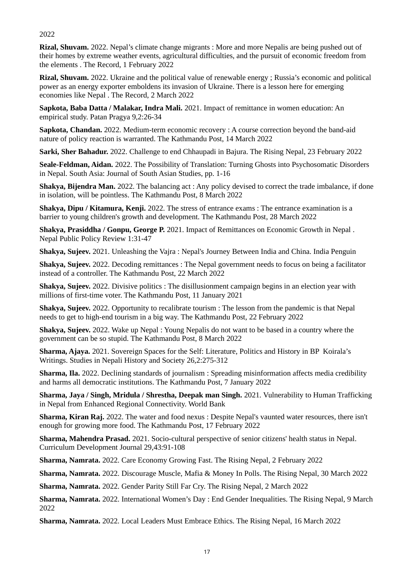2022

**Rizal, Shuvam.** 2022. Nepal's climate change migrants : More and more Nepalis are being pushed out of their homes by extreme weather events, agricultural difficulties, and the pursuit of economic freedom from the elements . The Record, 1 February 2022

**Rizal, Shuvam.** 2022. Ukraine and the political value of renewable energy ; Russia's economic and political power as an energy exporter emboldens its invasion of Ukraine. There is a lesson here for emerging economies like Nepal . The Record, 2 March 2022

**Sapkota, Baba Datta / Malakar, Indra Mali.** 2021. Impact of remittance in women education: An empirical study. Patan Pragya 9,2:26-34

**Sapkota, Chandan.** 2022. Medium-term economic recovery : A course correction beyond the band-aid nature of policy reaction is warranted. The Kathmandu Post, 14 March 2022

**Sarki, Sher Bahadur.** 2022. Challenge to end Chhaupadi in Bajura. The Rising Nepal, 23 February 2022

**Seale-Feldman, Aidan.** 2022. The Possibility of Translation: Turning Ghosts into Psychosomatic Disorders in Nepal. South Asia: Journal of South Asian Studies, pp. 1-16

**Shakya, Bijendra Man.** 2022. The balancing act : Any policy devised to correct the trade imbalance, if done in isolation, will be pointless. The Kathmandu Post, 8 March 2022

**Shakya, Dipu / Kitamura, Kenji.** 2022. The stress of entrance exams : The entrance examination is a barrier to young children's growth and development. The Kathmandu Post, 28 March 2022

**Shakya, Prasiddha / Gonpu, George P.** 2021. Impact of Remittances on Economic Growth in Nepal . Nepal Public Policy Review 1:31-47

**Shakya, Sujeev.** 2021. Unleashing the Vajra : Nepal's Journey Between India and China. India Penguin

**Shakya, Sujeev.** 2022. Decoding remittances : The Nepal government needs to focus on being a facilitator instead of a controller. The Kathmandu Post, 22 March 2022

**Shakya, Sujeev.** 2022. Divisive politics : The disillusionment campaign begins in an election year with millions of first-time voter. The Kathmandu Post, 11 January 2021

**Shakya, Sujeev.** 2022. Opportunity to recalibrate tourism : The lesson from the pandemic is that Nepal needs to get to high-end tourism in a big way. The Kathmandu Post, 22 February 2022

**Shakya, Sujeev.** 2022. Wake up Nepal : Young Nepalis do not want to be based in a country where the government can be so stupid. The Kathmandu Post, 8 March 2022

**Sharma, Ajaya.** 2021. Sovereign Spaces for the Self: Literature, Politics and History in BP Koirala's Writings. Studies in Nepali History and Society 26,2:275-312

**Sharma, Ila.** 2022. Declining standards of journalism : Spreading misinformation affects media credibility and harms all democratic institutions. The Kathmandu Post, 7 January 2022

**Sharma, Jaya / Singh, Mridula / Shrestha, Deepak man Singh.** 2021. Vulnerability to Human Trafficking in Nepal from Enhanced Regional Connectivity. World Bank

**Sharma, Kiran Raj.** 2022. The water and food nexus : Despite Nepal's vaunted water resources, there isn't enough for growing more food. The Kathmandu Post, 17 February 2022

**Sharma, Mahendra Prasad.** 2021. Socio-cultural perspective of senior citizens' health status in Nepal. Curriculum Development Journal 29,43:91-108

**Sharma, Namrata.** 2022. Care Economy Growing Fast. The Rising Nepal, 2 February 2022

**Sharma, Namrata.** 2022. Discourage Muscle, Mafia & Money In Polls. The Rising Nepal, 30 March 2022

**Sharma, Namrata.** 2022. Gender Parity Still Far Cry. The Rising Nepal, 2 March 2022

**Sharma, Namrata.** 2022. International Women's Day : End Gender Inequalities. The Rising Nepal, 9 March 2022

**Sharma, Namrata.** 2022. Local Leaders Must Embrace Ethics. The Rising Nepal, 16 March 2022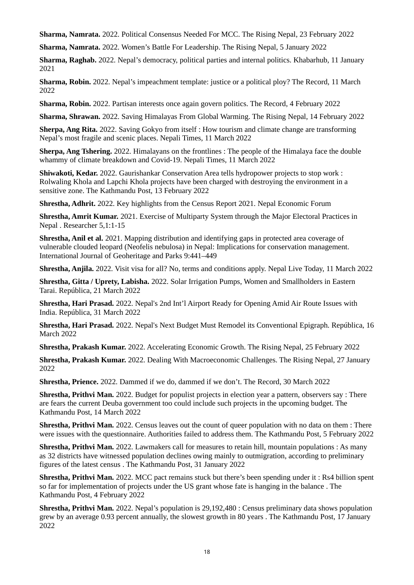**Sharma, Namrata.** 2022. Political Consensus Needed For MCC. The Rising Nepal, 23 February 2022

**Sharma, Namrata.** 2022. Women's Battle For Leadership. The Rising Nepal, 5 January 2022

**Sharma, Raghab.** 2022. Nepal's democracy, political parties and internal politics. Khabarhub, 11 January 2021

**Sharma, Robin.** 2022. Nepal's impeachment template: justice or a political ploy? The Record, 11 March 2022

**Sharma, Robin.** 2022. Partisan interests once again govern politics. The Record, 4 February 2022

**Sharma, Shrawan.** 2022. Saving Himalayas From Global Warming. The Rising Nepal, 14 February 2022

**Sherpa, Ang Rita.** 2022. Saving Gokyo from itself : How tourism and climate change are transforming Nepal's most fragile and scenic places. Nepali Times, 11 March 2022

**Sherpa, Ang Tshering.** 2022. Himalayans on the frontlines : The people of the Himalaya face the double whammy of climate breakdown and Covid-19. Nepali Times, 11 March 2022

**Shiwakoti, Kedar.** 2022. Gaurishankar Conservation Area tells hydropower projects to stop work : Rolwaling Khola and Lapchi Khola projects have been charged with destroying the environment in a sensitive zone. The Kathmandu Post, 13 February 2022

**Shrestha, Adhrit.** 2022. Key highlights from the Census Report 2021. Nepal Economic Forum

**Shrestha, Amrit Kumar.** 2021. Exercise of Multiparty System through the Major Electoral Practices in Nepal . Researcher 5,1:1-15

**Shrestha, Anil et al.** 2021. Mapping distribution and identifying gaps in protected area coverage of vulnerable clouded leopard (Neofelis nebulosa) in Nepal: Implications for conservation management. International Journal of Geoheritage and Parks 9:441–449

**Shrestha, Anjila.** 2022. Visit visa for all? No, terms and conditions apply. Nepal Live Today, 11 March 2022

**Shrestha, Gitta / Uprety, Labisha.** 2022. Solar Irrigation Pumps, Women and Smallholders in Eastern Tarai. República, 21 March 2022

**Shrestha, Hari Prasad.** 2022. Nepal's 2nd Int'l Airport Ready for Opening Amid Air Route Issues with India. República, 31 March 2022

**Shrestha, Hari Prasad.** 2022. Nepal's Next Budget Must Remodel its Conventional Epigraph. República, 16 March 2022

**Shrestha, Prakash Kumar.** 2022. Accelerating Economic Growth. The Rising Nepal, 25 February 2022

**Shrestha, Prakash Kumar.** 2022. Dealing With Macroeconomic Challenges. The Rising Nepal, 27 January 2022

**Shrestha, Prience.** 2022. Dammed if we do, dammed if we don't. The Record, 30 March 2022

**Shrestha, Prithvi Man.** 2022. Budget for populist projects in election year a pattern, observers say : There are fears the current Deuba government too could include such projects in the upcoming budget. The Kathmandu Post, 14 March 2022

**Shrestha, Prithvi Man.** 2022. Census leaves out the count of queer population with no data on them : There were issues with the questionnaire. Authorities failed to address them. The Kathmandu Post, 5 February 2022

**Shrestha, Prithvi Man.** 2022. Lawmakers call for measures to retain hill, mountain populations : As many as 32 districts have witnessed population declines owing mainly to outmigration, according to preliminary figures of the latest census . The Kathmandu Post, 31 January 2022

**Shrestha, Prithvi Man.** 2022. MCC pact remains stuck but there's been spending under it : Rs4 billion spent so far for implementation of projects under the US grant whose fate is hanging in the balance . The Kathmandu Post, 4 February 2022

**Shrestha, Prithvi Man.** 2022. Nepal's population is 29,192,480 : Census preliminary data shows population grew by an average 0.93 percent annually, the slowest growth in 80 years . The Kathmandu Post, 17 January 2022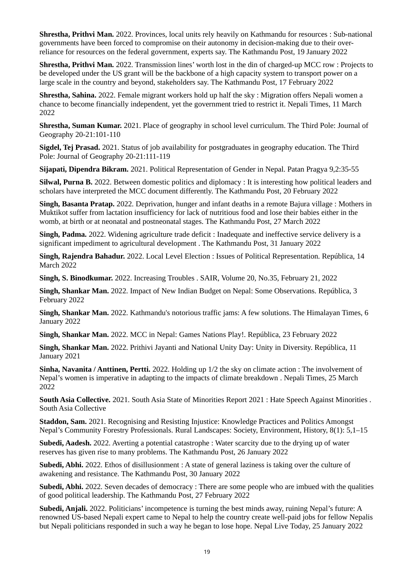**Shrestha, Prithvi Man.** 2022. Provinces, local units rely heavily on Kathmandu for resources : Sub-national governments have been forced to compromise on their autonomy in decision-making due to their overreliance for resources on the federal government, experts say. The Kathmandu Post, 19 January 2022

**Shrestha, Prithvi Man.** 2022. Transmission lines' worth lost in the din of charged-up MCC row : Projects to be developed under the US grant will be the backbone of a high capacity system to transport power on a large scale in the country and beyond, stakeholders say. The Kathmandu Post, 17 February 2022

**Shrestha, Sahina.** 2022. Female migrant workers hold up half the sky : Migration offers Nepali women a chance to become financially independent, yet the government tried to restrict it. Nepali Times, 11 March 2022

**Shrestha, Suman Kumar.** 2021. Place of geography in school level curriculum. The Third Pole: Journal of Geography 20-21:101-110

**Sigdel, Tej Prasad.** 2021. Status of job availability for postgraduates in geography education. The Third Pole: Journal of Geography 20-21:111-119

**Sijapati, Dipendra Bikram.** 2021. Political Representation of Gender in Nepal. Patan Pragya 9,2:35-55

**Silwal, Purna B.** 2022. Between domestic politics and diplomacy : It is interesting how political leaders and scholars have interpreted the MCC document differently. The Kathmandu Post, 20 February 2022

**Singh, Basanta Pratap.** 2022. Deprivation, hunger and infant deaths in a remote Bajura village : Mothers in Muktikot suffer from lactation insufficiency for lack of nutritious food and lose their babies either in the womb, at birth or at neonatal and postneonatal stages. The Kathmandu Post, 27 March 2022

**Singh, Padma.** 2022. Widening agriculture trade deficit : Inadequate and ineffective service delivery is a significant impediment to agricultural development . The Kathmandu Post, 31 January 2022

**Singh, Rajendra Bahadur.** 2022. Local Level Election : Issues of Political Representation. República, 14 March 2022

**Singh, S. Binodkumar.** 2022. Increasing Troubles . SAIR, Volume 20, No.35, February 21, 2022

**Singh, Shankar Man.** 2022. Impact of New Indian Budget on Nepal: Some Observations. República, 3 February 2022

**Singh, Shankar Man.** 2022. Kathmandu's notorious traffic jams: A few solutions. The Himalayan Times, 6 January 2022

**Singh, Shankar Man.** 2022. MCC in Nepal: Games Nations Play!. República, 23 February 2022

**Singh, Shankar Man.** 2022. Prithivi Jayanti and National Unity Day: Unity in Diversity. República, 11 January 2021

**Sinha, Navanita / Anttinen, Pertti.** 2022. Holding up 1/2 the sky on climate action : The involvement of Nepal's women is imperative in adapting to the impacts of climate breakdown . Nepali Times, 25 March 2022

**South Asia Collective.** 2021. South Asia State of Minorities Report 2021 : Hate Speech Against Minorities . South Asia Collective

**Staddon, Sam.** 2021. Recognising and Resisting Injustice: Knowledge Practices and Politics Amongst Nepal's Community Forestry Professionals. Rural Landscapes: Society, Environment, History, 8(1): 5,1–15

**Subedi, Aadesh.** 2022. Averting a potential catastrophe : Water scarcity due to the drying up of water reserves has given rise to many problems. The Kathmandu Post, 26 January 2022

**Subedi, Abhi.** 2022. Ethos of disillusionment : A state of general laziness is taking over the culture of awakening and resistance. The Kathmandu Post, 30 January 2022

**Subedi, Abhi.** 2022. Seven decades of democracy : There are some people who are imbued with the qualities of good political leadership. The Kathmandu Post, 27 February 2022

**Subedi, Anjali.** 2022. Politicians' incompetence is turning the best minds away, ruining Nepal's future: A renowned US-based Nepali expert came to Nepal to help the country create well-paid jobs for fellow Nepalis but Nepali politicians responded in such a way he began to lose hope. Nepal Live Today, 25 January 2022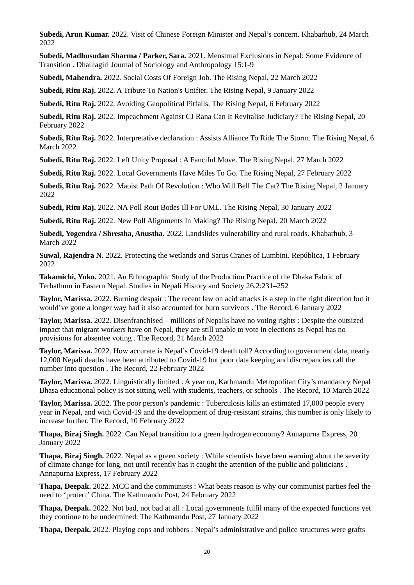**Subedi, Arun Kumar.** 2022. Visit of Chinese Foreign Minister and Nepal's concern. Khabarhub, 24 March 2022

**Subedi, Madhusudan Sharma / Parker, Sara.** 2021. Menstrual Exclusions in Nepal: Some Evidence of Transition . Dhaulagiri Journal of Sociology and Anthropology 15:1-9

**Subedi, Mahendra.** 2022. Social Costs Of Foreign Job. The Rising Nepal, 22 March 2022

**Subedi, Ritu Raj.** 2022. A Tribute To Nation's Unifier. The Rising Nepal, 9 January 2022

**Subedi, Ritu Raj.** 2022. Avoiding Geopolitical Pitfalls. The Rising Nepal, 6 February 2022

**Subedi, Ritu Raj.** 2022. Impeachment Against CJ Rana Can It Revitalise Judiciary? The Rising Nepal, 20 February 2022

**Subedi, Ritu Raj.** 2022. Interpretative declaration : Assists Alliance To Ride The Storm. The Rising Nepal, 6 March 2022

**Subedi, Ritu Raj.** 2022. Left Unity Proposal : A Fanciful Move. The Rising Nepal, 27 March 2022

**Subedi, Ritu Raj.** 2022. Local Governments Have Miles To Go. The Rising Nepal, 27 February 2022

**Subedi, Ritu Raj.** 2022. Maoist Path Of Revolution : Who Will Bell The Cat? The Rising Nepal, 2 January 2022

**Subedi, Ritu Raj.** 2022. NA Poll Rout Bodes Ill For UML. The Rising Nepal, 30 January 2022

**Subedi, Ritu Raj.** 2022. New Poll Alignments In Making? The Rising Nepal, 20 March 2022

**Subedi, Yogendra / Shrestha, Anustha.** 2022. Landslides vulnerability and rural roads. Khabarhub, 3 March 2022

**Suwal, Rajendra N.** 2022. Protecting the wetlands and Sarus Cranes of Lumbini. República, 1 February 2022

**Takamichi, Yuko.** 2021. An Ethnographic Study of the Production Practice of the Dhaka Fabric of Terhathum in Eastern Nepal. Studies in Nepali History and Society 26,2:231–252

**Taylor, Marissa.** 2022. Burning despair : The recent law on acid attacks is a step in the right direction but it would've gone a longer way had it also accounted for burn survivors . The Record, 6 January 2022

**Taylor, Marissa.** 2022. Disenfranchised – millions of Nepalis have no voting rights : Despite the outsized impact that migrant workers have on Nepal, they are still unable to vote in elections as Nepal has no provisions for absentee voting . The Record, 21 March 2022

**Taylor, Marissa.** 2022. How accurate is Nepal's Covid-19 death toll? According to government data, nearly 12,000 Nepali deaths have been attributed to Covid-19 but poor data keeping and discrepancies call the number into question . The Record, 22 February 2022

**Taylor, Marissa.** 2022. Linguistically limited : A year on, Kathmandu Metropolitan City's mandatory Nepal Bhasa educational policy is not sitting well with students, teachers, or schools . The Record, 10 March 2022

**Taylor, Marissa.** 2022. The poor person's pandemic : Tuberculosis kills an estimated 17,000 people every year in Nepal, and with Covid-19 and the development of drug-resistant strains, this number is only likely to increase further. The Record, 10 February 2022

**Thapa, Biraj Singh.** 2022. Can Nepal transition to a green hydrogen economy? Annapurna Express, 20 January 2022

**Thapa, Biraj Singh.** 2022. Nepal as a green society : While scientists have been warning about the severity of climate change for long, not until recently has it caught the attention of the public and politicians . Annapurna Express, 17 February 2022

**Thapa, Deepak.** 2022. MCC and the communists : What beats reason is why our communist parties feel the need to 'protect' China. The Kathmandu Post, 24 February 2022

**Thapa, Deepak.** 2022. Not bad, not bad at all : Local governments fulfil many of the expected functions yet they continue to be undermined. The Kathmandu Post, 27 January 2022

**Thapa, Deepak.** 2022. Playing cops and robbers : Nepal's administrative and police structures were grafts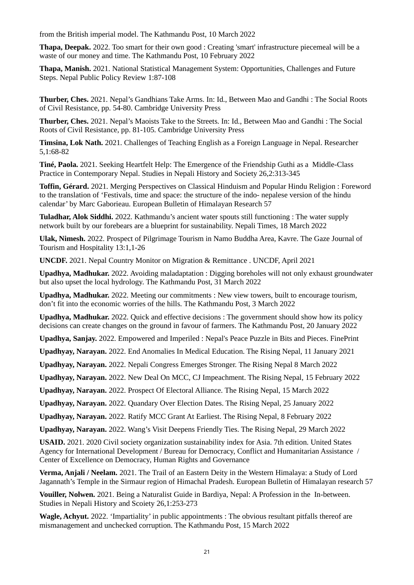from the British imperial model. The Kathmandu Post, 10 March 2022

**Thapa, Deepak.** 2022. Too smart for their own good : Creating 'smart' infrastructure piecemeal will be a waste of our money and time. The Kathmandu Post, 10 February 2022

**Thapa, Manish.** 2021. National Statistical Management System: Opportunities, Challenges and Future Steps. Nepal Public Policy Review 1:87-108

**Thurber, Ches.** 2021. Nepal's Gandhians Take Arms. In: Id., Between Mao and Gandhi : The Social Roots of Civil Resistance, pp. 54-80. Cambridge University Press

**Thurber, Ches.** 2021. Nepal's Maoists Take to the Streets. In: Id., Between Mao and Gandhi : The Social Roots of Civil Resistance, pp. 81-105. Cambridge University Press

**Timsina, Lok Nath.** 2021. Challenges of Teaching English as a Foreign Language in Nepal. Researcher 5,1:68-82

**Tiné, Paola.** 2021. Seeking Heartfelt Help: The Emergence of the Friendship Guthi as a Middle-Class Practice in Contemporary Nepal. Studies in Nepali History and Society 26,2:313-345

**Toffin, Gérard.** 2021. Merging Perspectives on Classical Hinduism and Popular Hindu Religion : Foreword to the translation of 'Festivals, time and space: the structure of the indo- nepalese version of the hindu calendar' by Marc Gaborieau. European Bulletin of Himalayan Research 57

**Tuladhar, Alok Siddhi.** 2022. Kathmandu's ancient water spouts still functioning : The water supply network built by our forebears are a blueprint for sustainability. Nepali Times, 18 March 2022

**Ulak, Nimesh.** 2022. Prospect of Pilgrimage Tourism in Namo Buddha Area, Kavre. The Gaze Journal of Tourism and Hospitality 13:1,1-26

**UNCDF.** 2021. Nepal Country Monitor on Migration & Remittance . UNCDF, April 2021

**Upadhya, Madhukar.** 2022. Avoiding maladaptation : Digging boreholes will not only exhaust groundwater but also upset the local hydrology. The Kathmandu Post, 31 March 2022

**Upadhya, Madhukar.** 2022. Meeting our commitments : New view towers, built to encourage tourism, don't fit into the economic worries of the hills. The Kathmandu Post, 3 March 2022

**Upadhya, Madhukar.** 2022. Quick and effective decisions : The government should show how its policy decisions can create changes on the ground in favour of farmers. The Kathmandu Post, 20 January 2022

**Upadhya, Sanjay.** 2022. Empowered and Imperiled : Nepal's Peace Puzzle in Bits and Pieces. FinePrint

**Upadhyay, Narayan.** 2022. End Anomalies In Medical Education. The Rising Nepal, 11 January 2021

**Upadhyay, Narayan.** 2022. Nepali Congress Emerges Stronger. The Rising Nepal 8 March 2022

**Upadhyay, Narayan.** 2022. New Deal On MCC, CJ Impeachment. The Rising Nepal, 15 February 2022

**Upadhyay, Narayan.** 2022. Prospect Of Electoral Alliance. The Rising Nepal, 15 March 2022

**Upadhyay, Narayan.** 2022. Quandary Over Election Dates. The Rising Nepal, 25 January 2022

**Upadhyay, Narayan.** 2022. Ratify MCC Grant At Earliest. The Rising Nepal, 8 February 2022

**Upadhyay, Narayan.** 2022. Wang's Visit Deepens Friendly Ties. The Rising Nepal, 29 March 2022

**USAID.** 2021. 2020 Civil society organization sustainability index for Asia. 7th edition. United States Agency for International Development / Bureau for Democracy, Conflict and Humanitarian Assistance / Center of Excellence on Democracy, Human Rights and Governance

**Verma, Anjali / Neelam.** 2021. The Trail of an Eastern Deity in the Western Himalaya: a Study of Lord Jagannath's Temple in the Sirmaur region of Himachal Pradesh. European Bulletin of Himalayan research 57

**Vouiller, Nolwen.** 2021. Being a Naturalist Guide in Bardiya, Nepal: A Profession in the In-between. Studies in Nepali History and Scoiety 26,1:253-273

**Wagle, Achyut.** 2022. 'Impartiality' in public appointments : The obvious resultant pitfalls thereof are mismanagement and unchecked corruption. The Kathmandu Post, 15 March 2022